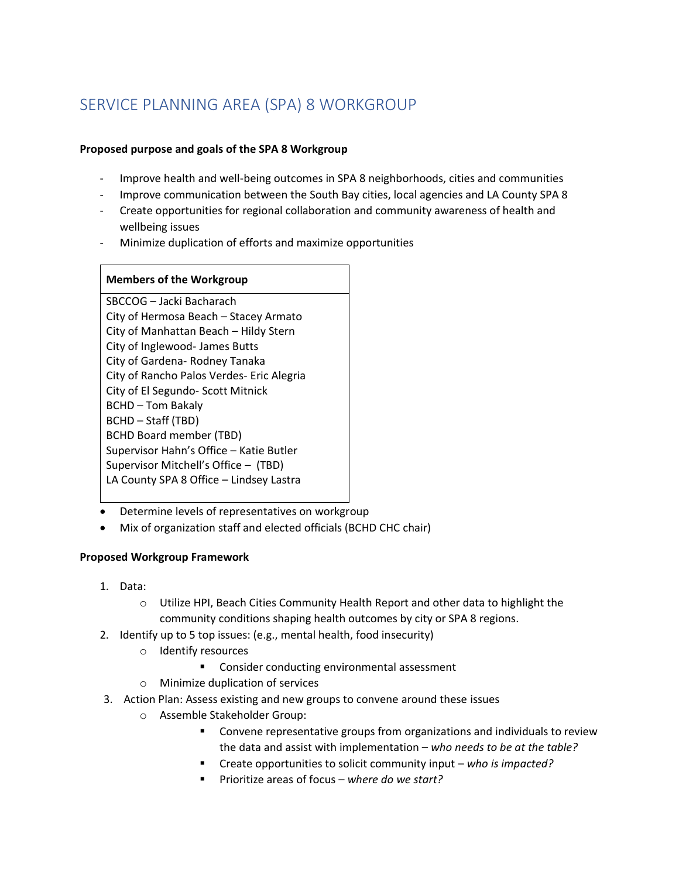# SERVICE PLANNING AREA (SPA) 8 WORKGROUP

### **Proposed purpose and goals of the SPA 8 Workgroup**

- Improve health and well-being outcomes in SPA 8 neighborhoods, cities and communities
- Improve communication between the South Bay cities, local agencies and LA County SPA 8
- Create opportunities for regional collaboration and community awareness of health and wellbeing issues
- Minimize duplication of efforts and maximize opportunities

## **Members of the Workgroup**

SBCCOG – Jacki Bacharach City of Hermosa Beach – Stacey Armato City of Manhattan Beach – Hildy Stern City of Inglewood- James Butts City of Gardena- Rodney Tanaka City of Rancho Palos Verdes- Eric Alegria City of El Segundo- Scott Mitnick BCHD – Tom Bakaly BCHD – Staff (TBD) BCHD Board member (TBD) Supervisor Hahn's Office – Katie Butler Supervisor Mitchell's Office – (TBD) LA County SPA 8 Office – Lindsey Lastra

- Determine levels of representatives on workgroup
- Mix of organization staff and elected officials (BCHD CHC chair)

# **Proposed Workgroup Framework**

- 1. Data:
	- o Utilize HPI, Beach Cities Community Health Report and other data to highlight the community conditions shaping health outcomes by city or SPA 8 regions.
- 2. Identify up to 5 top issues: (e.g., mental health, food insecurity)
	- o Identify resources
		- Consider conducting environmental assessment
	- o Minimize duplication of services
- 3. Action Plan: Assess existing and new groups to convene around these issues
	- o Assemble Stakeholder Group:
		- Convene representative groups from organizations and individuals to review the data and assist with implementation – *who needs to be at the table?*
		- Create opportunities to solicit community input *who is impacted?*
		- Prioritize areas of focus *where do we start?*